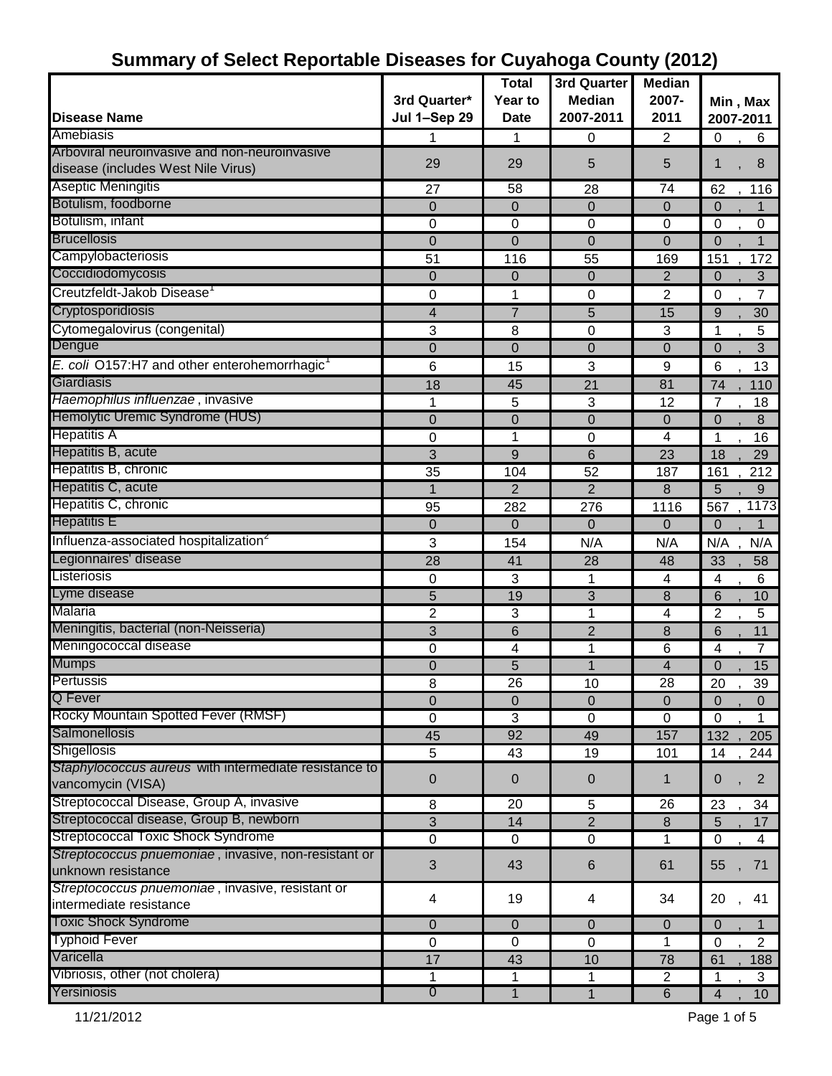|                                                          |                     | <b>Total</b>   | 3rd Quarter      | <b>Median</b>            |                               |
|----------------------------------------------------------|---------------------|----------------|------------------|--------------------------|-------------------------------|
|                                                          | 3rd Quarter*        | Year to        | <b>Median</b>    | 2007-                    | Min, Max                      |
| <b>Disease Name</b>                                      | <b>Jul 1-Sep 29</b> | <b>Date</b>    | 2007-2011        | 2011                     | 2007-2011                     |
| Amebiasis                                                | 1                   | 1              | 0                | 2                        | $\mathbf 0$<br>6              |
| Arboviral neuroinvasive and non-neuroinvasive            | 29                  | 29             | 5                | 5                        | 8<br>1                        |
| disease (includes West Nile Virus)                       |                     |                |                  |                          |                               |
| <b>Aseptic Meningitis</b>                                | 27                  | 58             | 28               | 74                       | 62<br>$\overline{1}$ 16       |
| Botulism, foodborne                                      | $\overline{0}$      | $\mathbf 0$    | $\mathbf 0$      | $\mathbf 0$              | $\overline{0}$                |
| Botulism, infant                                         | 0                   | 0              | 0                | $\mathbf 0$              | 0<br>$\boldsymbol{0}$         |
| <b>Brucellosis</b>                                       | 0                   | $\overline{0}$ | $\overline{0}$   | $\mathbf{0}$             | $\Omega$<br>1                 |
| Campylobacteriosis                                       | 51                  | 116            | 55               | 169                      | 172<br>151                    |
| Coccidiodomycosis                                        | 0                   | $\mathbf 0$    | $\overline{0}$   | $\overline{2}$           | 3<br>$\overline{0}$           |
| Creutzfeldt-Jakob Disease                                | 0                   | 1              | 0                | $\overline{2}$           | 0<br>7                        |
| Cryptosporidiosis                                        | 4                   | $\overline{7}$ | 5                | 15                       | 30<br>9                       |
| Cytomegalovirus (congenital)                             | 3                   | 8              | $\boldsymbol{0}$ | $\sqrt{3}$               | 5<br>1                        |
| Dengue                                                   | 0                   | $\mathbf 0$    | 0                | $\mathbf{0}$             | 3<br>$\overline{0}$           |
| E. coli O157:H7 and other enterohemorrhagic <sup>1</sup> | 6                   | 15             | 3                | 9                        | 6<br>13                       |
| Giardiasis                                               | 18                  | 45             | 21               | 81                       | 74<br>110                     |
| Haemophilus influenzae, invasive                         | 1                   | 5              | 3                | 12                       | 7<br>18                       |
| Hemolytic Uremic Syndrome (HUS)                          | $\mathbf 0$         | $\overline{0}$ | $\mathbf 0$      | $\boldsymbol{0}$         | $\Omega$<br>8                 |
| <b>Hepatitis A</b>                                       | 0                   | 1              | $\mathbf 0$      | 4                        | 1<br>16                       |
| Hepatitis B, acute                                       | 3                   | 9              | 6                | 23                       | 18<br>29                      |
| Hepatitis B, chronic                                     | 35                  | 104            | 52               | 187                      | 212<br>161                    |
| Hepatitis C, acute                                       | $\mathbf{1}$        | $\overline{2}$ | $\overline{2}$   | 8                        | 5<br>9                        |
| Hepatitis C, chronic                                     | 95                  | 282            | 276              | 1116                     | 1173<br>567                   |
| <b>Hepatitis E</b>                                       | 0                   | $\mathbf 0$    | $\overline{0}$   | 0                        | $\overline{0}$<br>1           |
| Influenza-associated hospitalization <sup>2</sup>        | 3                   | 154            | N/A              | N/A                      | N/A<br>N/A                    |
| Legionnaires' disease                                    | 28                  | 41             | 28               | 48                       | 33<br>58                      |
| Listeriosis                                              | 0                   | 3              | 1                | 4                        | 4<br>6                        |
| Lyme disease                                             | 5                   | 19             | 3                | 8                        | 6<br>10                       |
| Malaria                                                  | $\overline{c}$      | 3              | 1                | $\overline{\mathcal{A}}$ | $\overline{2}$<br>5           |
| Meningitis, bacterial (non-Neisseria)                    | 3                   | 6              | $\overline{2}$   | 8                        | 6<br>11                       |
| Meningococcal disease                                    | 0                   | 4              | 1                | 6                        | 4<br>7                        |
| <b>Mumps</b>                                             | 0                   | 5              | 1                | 4                        | 15<br>$\Omega$                |
| Pertussis                                                | 8                   | 26             | 10               | 28                       | 20<br>39                      |
| Q Fever                                                  | $\overline{0}$      | $\Omega$       | $\Omega$         | $\Omega$                 | $\Omega$<br>$\overline{0}$    |
| Rocky Mountain Spotted Fever (RMSF)                      | 0                   | 3              | 0                | 0                        | $\mathbf 0$<br>1              |
| <b>Salmonellosis</b>                                     | 45                  | 92             | 49               | 157                      | 205<br>132                    |
| Shigellosis                                              | 5                   | 43             | 19               | 101                      | 14<br>244                     |
| Staphylococcus aureus with intermediate resistance to    |                     | $\mathbf{0}$   |                  |                          | $\overline{2}$                |
| vancomycin (VISA)                                        | 0                   |                | $\mathbf 0$      | 1                        | 0                             |
| Streptococcal Disease, Group A, invasive                 | 8                   | 20             | 5                | 26                       | 23<br>34                      |
| Streptococcal disease, Group B, newborn                  | 3                   | 14             | $\overline{2}$   | $\boldsymbol{8}$         | 17<br>5                       |
| <b>Streptococcal Toxic Shock Syndrome</b>                | $\mathbf 0$         | 0              | 0                | 1                        | $\mathbf 0$<br>4              |
| Streptococcus pnuemoniae, invasive, non-resistant or     | 3                   | 43             | 6                | 61                       | 55<br>71                      |
| unknown resistance                                       |                     |                |                  |                          |                               |
| Streptococcus pnuemoniae, invasive, resistant or         | 4                   | 19             | 4                | 34                       | 20<br>41                      |
| intermediate resistance                                  |                     |                |                  |                          |                               |
| <b>Toxic Shock Syndrome</b>                              | $\pmb{0}$           | $\pmb{0}$      | $\mathbf 0$      | $\pmb{0}$                | $\mathbf 0$<br>1              |
| <b>Typhoid Fever</b>                                     | $\pmb{0}$           | 0              | $\mathbf 0$      | 1                        | $\overline{2}$<br>$\mathbf 0$ |
| Varicella                                                | 17                  | 43             | 10               | 78                       | 61<br>188                     |
| Vibriosis, other (not cholera)                           | 1                   | 1              | $\mathbf{1}$     | $\overline{2}$           | 3<br>$\mathbf 1$              |
| Yersiniosis                                              | $\overline{0}$      | $\mathbf{1}$   | $\mathbf{1}$     | $\overline{6}$           | 10<br>4                       |

# **Summary of Select Reportable Diseases for Cuyahoga County (2012)**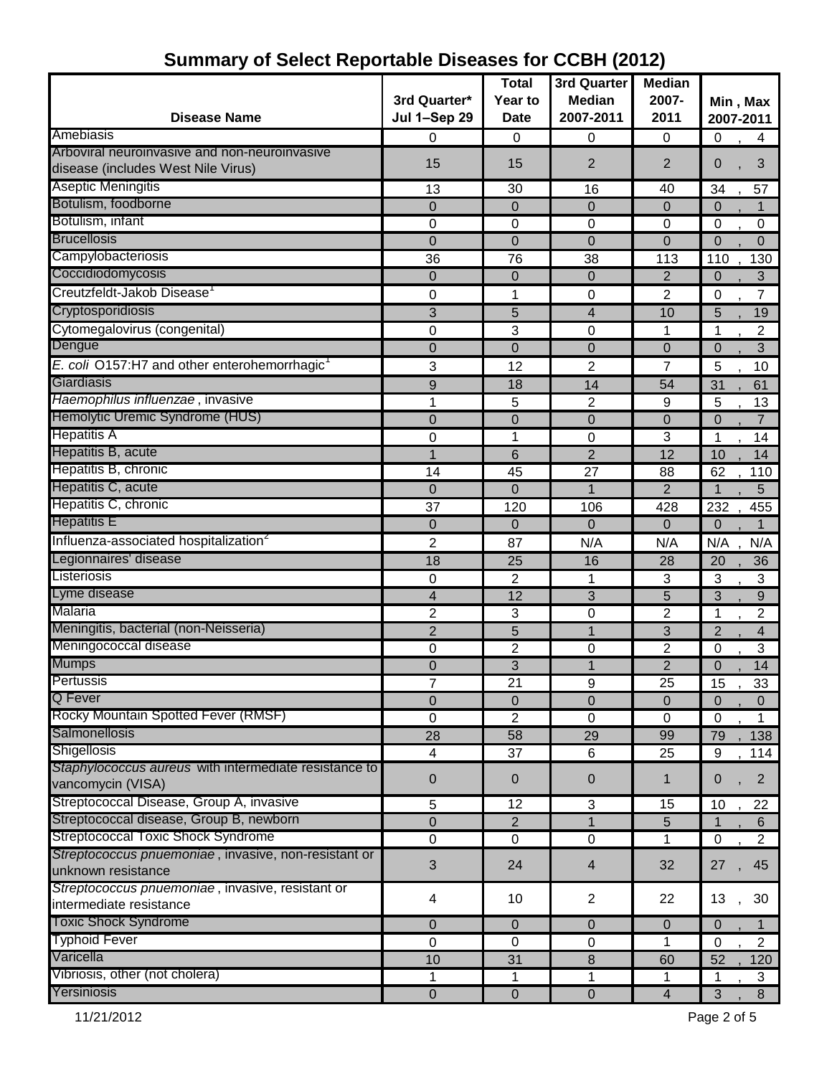| <b>Disease Name</b>                                                                 | 3rd Quarter*<br><b>Jul 1-Sep 29</b> | <b>Total</b><br>Year to<br><b>Date</b> | 3rd Quarter<br><b>Median</b><br>2007-2011 | <b>Median</b><br>2007-<br>2011 | Min, Max<br>2007-2011            |
|-------------------------------------------------------------------------------------|-------------------------------------|----------------------------------------|-------------------------------------------|--------------------------------|----------------------------------|
| Amebiasis                                                                           | 0                                   | 0                                      | 0                                         | 0                              | 0<br>4                           |
| Arboviral neuroinvasive and non-neuroinvasive<br>disease (includes West Nile Virus) | 15                                  | 15                                     | $\overline{2}$                            | $\overline{2}$                 | 3<br>0                           |
| <b>Aseptic Meningitis</b>                                                           | 13                                  | 30                                     | 16                                        | 40                             | 57<br>34                         |
| Botulism, foodborne                                                                 | $\mathbf 0$                         | 0                                      | $\overline{0}$                            | $\Omega$                       | $\mathbf 0$<br>1                 |
| Botulism, infant                                                                    | 0                                   | 0                                      | 0                                         | 0                              | $\mathbf 0$<br>0                 |
| <b>Brucellosis</b>                                                                  | $\mathbf 0$                         | 0                                      | $\overline{0}$                            | $\mathbf 0$                    | $\overline{0}$<br>$\Omega$       |
| Campylobacteriosis                                                                  | 36                                  | 76                                     | 38                                        | 113                            | 130<br>110                       |
| Coccidiodomycosis                                                                   | $\mathbf 0$                         | $\overline{0}$                         | $\Omega$                                  | $\overline{2}$                 | $\overline{0}$<br>$\mathfrak{B}$ |
| Creutzfeldt-Jakob Disease <sup>1</sup>                                              | 0                                   | 1                                      | 0                                         | $\overline{2}$                 | $\overline{7}$<br>$\mathbf 0$    |
| Cryptosporidiosis                                                                   | 3                                   | 5                                      | 4                                         | 10                             | 5<br>19                          |
| Cytomegalovirus (congenital)                                                        | 0                                   | 3                                      | 0                                         | 1                              | 1<br>2                           |
| Dengue                                                                              | 0                                   | $\mathbf 0$                            | $\mathbf 0$                               | $\mathbf 0$                    | 3<br>0                           |
| E. coli O157:H7 and other enterohemorrhagic <sup>1</sup>                            | 3                                   | 12                                     | $\overline{2}$                            | $\overline{7}$                 | 5<br>10                          |
| Giardiasis                                                                          | 9                                   | 18                                     | 14                                        | 54                             | 31<br>61                         |
| Haemophilus influenzae, invasive                                                    | 1                                   | 5                                      | $\overline{2}$                            | 9                              | 5<br>13                          |
| Hemolytic Uremic Syndrome (HUS)                                                     | $\mathbf 0$                         | $\mathbf 0$                            | $\mathbf 0$                               | $\mathbf 0$                    | $\overline{0}$<br>$\overline{7}$ |
| <b>Hepatitis A</b>                                                                  | 0                                   | 1                                      | $\overline{0}$                            | 3                              | 1<br>14                          |
| Hepatitis B, acute                                                                  | 1                                   | 6                                      | $\overline{2}$                            | $\overline{12}$                | 10<br>14                         |
| Hepatitis B, chronic                                                                | 14                                  | 45                                     | 27                                        | 88                             | 62<br>110                        |
| Hepatitis C, acute                                                                  | $\mathbf{0}$                        | 0                                      |                                           | $\overline{2}$                 | 5<br>1                           |
| Hepatitis C, chronic                                                                | 37                                  | 120                                    | 106                                       | 428                            | 232<br>455                       |
| <b>Hepatitis E</b>                                                                  | $\overline{0}$                      | 0                                      | $\Omega$                                  | 0                              | $\overline{0}$                   |
| Influenza-associated hospitalization <sup>2</sup>                                   | 2                                   | 87                                     | N/A                                       | N/A                            | N/A<br>N/A                       |
| Legionnaires' disease                                                               | 18                                  | 25                                     | 16                                        | 28                             | 20<br>36                         |
| Listeriosis                                                                         | 0                                   | $\overline{c}$                         | 1                                         | 3                              | 3<br>3                           |
| Lyme disease                                                                        | $\overline{\mathbf{4}}$             | 12                                     | 3                                         | 5                              | 3<br>9                           |
| Malaria                                                                             | $\overline{c}$                      | 3                                      | 0                                         | $\overline{c}$                 | $\boldsymbol{2}$<br>1            |
| Meningitis, bacterial (non-Neisseria)                                               | $\overline{2}$                      | 5                                      | $\mathbf 1$                               | 3                              | $\overline{2}$<br>$\overline{4}$ |
| Meningococcal disease                                                               | 0                                   | $\overline{c}$                         | 0                                         | $\overline{2}$                 | $\mathbf 0$<br>$\overline{3}$    |
| <b>Mumps</b>                                                                        | 0                                   | 3                                      | $\mathbf 1$                               | $\overline{2}$                 | 0<br>14                          |
| Pertussis                                                                           |                                     | 21                                     | 9                                         | 25                             | 15<br>33                         |
| Q Fever                                                                             | $\mathbf{0}$                        | 0                                      | $\overline{0}$                            | 0                              | $\mathbf 0$<br>0                 |
| Rocky Mountain Spotted Fever (RMSF)                                                 | $\mathbf 0$                         | 2                                      | 0                                         | 0                              | $\mathbf 0$<br>1                 |
| Salmonellosis                                                                       | 28                                  | 58                                     | 29                                        | 99                             | 138<br>79                        |
| <b>Shigellosis</b>                                                                  | $\overline{4}$                      | 37                                     | 6                                         | 25                             | 9<br>114                         |
| Staphylococcus aureus with intermediate resistance to                               | $\pmb{0}$                           | $\pmb{0}$                              | 0                                         | $\mathbf{1}$                   | $\overline{2}$<br>0              |
| vancomycin (VISA)                                                                   |                                     |                                        |                                           |                                |                                  |
| Streptococcal Disease, Group A, invasive                                            | 5                                   | 12                                     | 3                                         | 15                             | 10<br>22                         |
| Streptococcal disease, Group B, newborn                                             | $\pmb{0}$                           | $\overline{2}$                         | 1                                         | 5                              | 6<br>$\mathbf{1}$                |
| <b>Streptococcal Toxic Shock Syndrome</b>                                           | 0                                   | 0                                      | $\pmb{0}$                                 | 1                              | $2^{\circ}$<br>$\mathbf 0$       |
| Streptococcus pnuemoniae, invasive, non-resistant or<br>unknown resistance          | $\sqrt{3}$                          | 24                                     | 4                                         | 32                             | 45<br>27                         |
| Streptococcus pnuemoniae, invasive, resistant or<br>intermediate resistance         | 4                                   | 10                                     | $\overline{c}$                            | 22                             | 13<br>30                         |
| <b>Toxic Shock Syndrome</b>                                                         | $\mathbf{0}$                        | 0                                      | $\Omega$                                  | $\mathbf 0$                    | $\mathbf 0$                      |
| <b>Typhoid Fever</b>                                                                | $\mathbf 0$                         | 0                                      | $\mathbf 0$                               | 1                              | $\mathbf 0$<br>$\overline{2}$    |
| Varicella                                                                           | 10                                  | 31                                     | 8                                         | 60                             | 120<br>52                        |
| Vibriosis, other (not cholera)                                                      | $\mathbf{1}$                        | 1                                      | 1                                         | 1                              | 3<br>1                           |
| Yersiniosis                                                                         | $\pmb{0}$                           | $\mathbf 0$                            | $\boldsymbol{0}$                          | $\overline{\mathbf{4}}$        | 3<br>8                           |

## **Summary of Select Reportable Diseases for CCBH (2012)**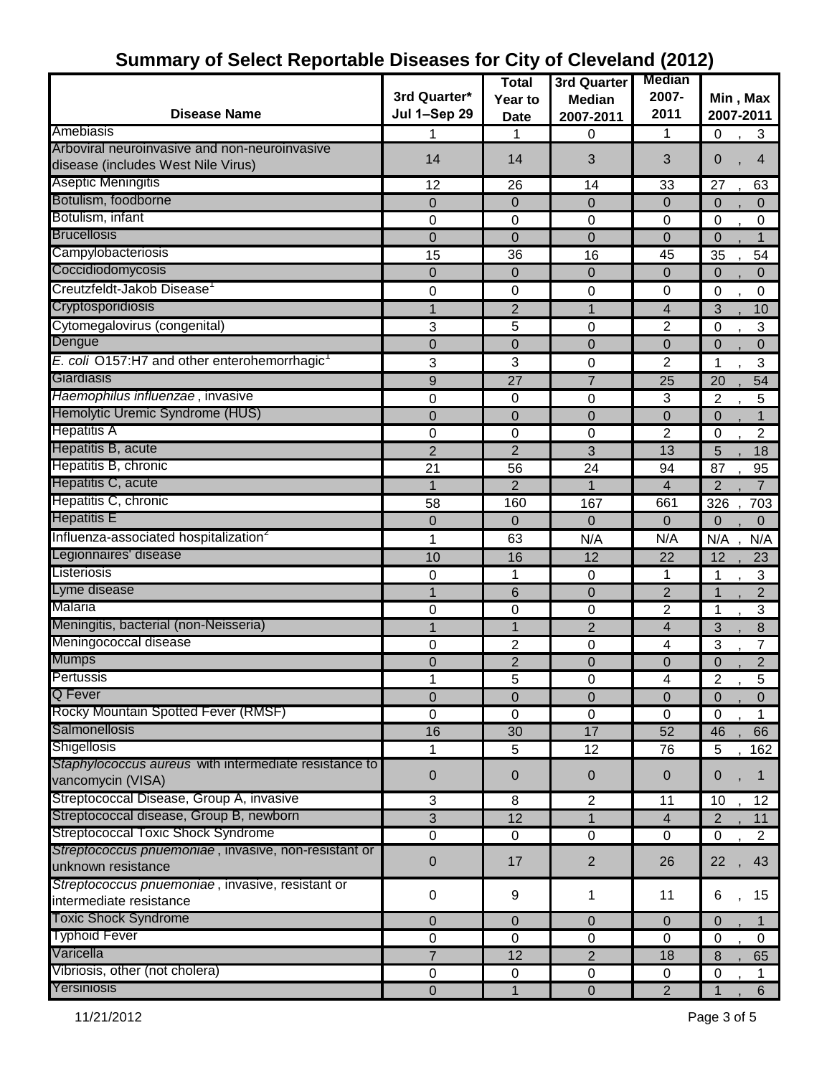|                                                          |                     | <b>Total</b>   | 3rd Quarter      | <b>Median</b>           |                               |
|----------------------------------------------------------|---------------------|----------------|------------------|-------------------------|-------------------------------|
|                                                          | 3rd Quarter*        | Year to        | <b>Median</b>    | 2007-                   | Min, Max                      |
| <b>Disease Name</b>                                      | <b>Jul 1-Sep 29</b> | <b>Date</b>    | 2007-2011        | 2011                    | 2007-2011                     |
| Amebiasis                                                | 1                   | 1              | 0                | 1                       | 3<br>$\mathbf 0$              |
| Arboviral neuroinvasive and non-neuroinvasive            |                     |                |                  |                         |                               |
| disease (includes West Nile Virus)                       | 14                  | 14             | 3                | 3                       | 0<br>$\overline{4}$           |
| Aseptic Meningitis                                       | 12                  | 26             | 14               | 33                      | 27<br>63                      |
| Botulism, foodborne                                      | $\mathbf 0$         | 0              | $\overline{0}$   | 0                       | $\mathbf 0$<br>$\Omega$       |
| Botulism, infant                                         | 0                   | 0              | 0                | 0                       | $\mathbf 0$<br>0              |
| <b>Brucellosis</b>                                       | $\mathbf 0$         | $\mathbf 0$    | $\mathbf 0$      | $\mathbf 0$             | $\overline{0}$<br>1           |
| Campylobacteriosis                                       | 15                  | 36             | 16               | 45                      | 35<br>54                      |
| Coccidiodomycosis                                        | $\overline{0}$      | 0              | $\overline{0}$   | 0                       | $\mathbf 0$<br>$\Omega$       |
| Creutzfeldt-Jakob Disease <sup>1</sup>                   | 0                   | 0              | 0                | 0                       | 0<br>0                        |
| Cryptosporidiosis                                        | 1                   | $\overline{2}$ | $\mathbf 1$      | $\overline{4}$          | 3<br>10                       |
| Cytomegalovirus (congenital)                             | 3                   | 5              | 0                | $\overline{2}$          | $\mathbf 0$<br>3              |
| Dengue                                                   | $\mathbf 0$         | 0              | $\mathbf 0$      | 0                       | $\mathbf 0$<br>$\mathbf{0}$   |
| E. coli O157:H7 and other enterohemorrhagic <sup>1</sup> | 3                   | 3              | 0                | $\overline{2}$          | 3<br>1                        |
| Giardiasis                                               | 9                   | 27             | $\overline{7}$   | 25                      | 20<br>54                      |
| Haemophilus influenzae, invasive                         | 0                   | 0              | 0                | 3                       | $\overline{2}$<br>5           |
| Hemolytic Uremic Syndrome (HUS)                          | $\mathbf 0$         | 0              | $\mathbf 0$      | $\mathbf 0$             | $\mathbf 0$<br>$\overline{1}$ |
| <b>Hepatitis A</b>                                       | 0                   | 0              | 0                | $\overline{2}$          | $\mathbf 0$<br>2              |
| Hepatitis B, acute                                       | $\overline{2}$      | $\overline{2}$ | 3                | 13                      | 5<br>18                       |
| Hepatitis B, chronic                                     | 21                  | 56             | 24               | 94                      | 87<br>95                      |
| Hepatitis C, acute                                       | $\mathbf{1}$        | $\overline{2}$ | 1                | $\overline{4}$          | $\overline{2}$<br>7           |
| Hepatitis C, chronic                                     | 58                  | 160            | 167              | 661                     | 326<br>703                    |
| <b>Hepatitis E</b>                                       | 0                   | 0              | $\overline{0}$   | $\mathbf 0$             | $\mathbf 0$<br>$\mathbf{0}$   |
| Influenza-associated hospitalization <sup>2</sup>        | 1                   | 63             | N/A              | N/A                     | N/A<br>N/A                    |
| Legionnaires' disease                                    | 10                  | 16             | 12               | 22                      | 12<br>23                      |
| Listeriosis                                              | 0                   | 1              | 0                | 1                       | 3<br>1                        |
| Lyme disease                                             | 1                   | 6              | $\overline{0}$   | $\overline{c}$          | $\overline{c}$<br>1           |
| Malaria                                                  | 0                   | 0              | 0                | $\overline{2}$          | $\overline{3}$<br>1           |
| Meningitis, bacterial (non-Neisseria)                    | 1                   | 1              | $\overline{2}$   | 4                       | 3<br>8                        |
| Meningococcal disease                                    | 0                   | 2              | 0                | 4                       | 3<br>7                        |
| <b>Mumps</b>                                             | $\mathbf 0$         | $\overline{2}$ | $\mathbf 0$      | $\pmb{0}$               | $\mathbf 0$<br>$\overline{c}$ |
| Pertussis                                                | 1                   | 5              | U                | 4                       | 2<br><sub>5</sub>             |
| <b>Q</b> Fever                                           | $\mathbf 0$         | 0              | $\mathbf 0$      | $\pmb{0}$               | $\mathbf 0$<br>$\Omega$       |
| Rocky Mountain Spotted Fever (RMSF)                      | $\pmb{0}$           | 0              | $\mathbf 0$      | $\pmb{0}$               | $\mathbf 0$<br>1              |
| Salmonellosis                                            | 16                  | 30             | 17               | 52                      | 46<br>66                      |
| Shigellosis                                              | $\mathbf{1}$        | 5              | 12               | 76                      | 5<br>162                      |
| Staphylococcus aureus with intermediate resistance to    |                     |                |                  |                         |                               |
| vancomycin (VISA)                                        | 0                   | 0              | 0                | 0                       | 0<br>$\mathbf 1$              |
| Streptococcal Disease, Group A, invasive                 | 3                   | 8              | 2                | 11                      | 12<br>10                      |
| Streptococcal disease, Group B, newborn                  | 3                   | 12             | 1                | $\overline{\mathbf{4}}$ | $\overline{2}$<br>11          |
| <b>Streptococcal Toxic Shock Syndrome</b>                | $\pmb{0}$           | 0              | $\mathbf 0$      | 0                       | $\mathbf 0$<br>$\overline{2}$ |
| Streptococcus pnuemoniae, invasive, non-resistant or     |                     |                |                  |                         |                               |
| unknown resistance                                       | $\boldsymbol{0}$    | 17             | $\overline{2}$   | 26                      | 22<br>43                      |
| Streptococcus pnuemoniae, invasive, resistant or         |                     |                |                  |                         |                               |
| intermediate resistance                                  | $\pmb{0}$           | 9              | 1                | 11                      | 6<br>15                       |
| <b>Toxic Shock Syndrome</b>                              | 0                   | 0              | $\overline{0}$   | $\mathbf 0$             | $\mathbf 0$                   |
| <b>Typhoid Fever</b>                                     | $\pmb{0}$           | 0              | 0                | $\mathbf 0$             | $\mathbf 0$<br>0              |
| Varicella                                                | $\overline{7}$      | 12             | $\overline{2}$   | 18                      | 8<br>65                       |
| Vibriosis, other (not cholera)                           | $\pmb{0}$           | 0              | $\pmb{0}$        | $\pmb{0}$               | $\mathbf 0$<br>1              |
| Yersiniosis                                              | $\boldsymbol{0}$    | 1              | $\boldsymbol{0}$ | $\overline{2}$          | $6\phantom{1}$<br>1           |

#### **Summary of Select Reportable Diseases for City of Cleveland (2012)**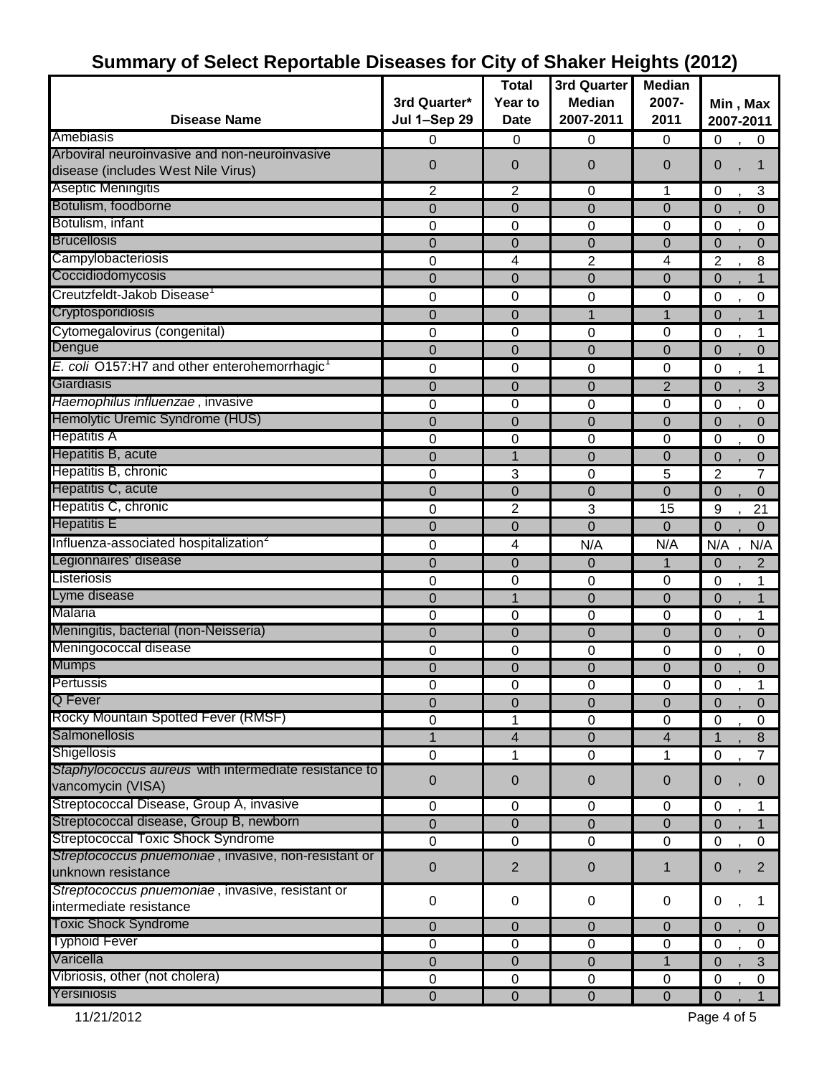|                                                          |                     |                |                  | ັ                       |                                  |
|----------------------------------------------------------|---------------------|----------------|------------------|-------------------------|----------------------------------|
|                                                          |                     | <b>Total</b>   | 3rd Quarter      | <b>Median</b>           |                                  |
|                                                          | 3rd Quarter*        | Year to        | <b>Median</b>    | 2007-                   | Min, Max                         |
| <b>Disease Name</b>                                      | <b>Jul 1-Sep 29</b> | <b>Date</b>    | 2007-2011        | 2011                    | 2007-2011                        |
| Amebiasis                                                | 0                   | 0              | 0                | 0                       | 0<br>$\mathbf 0$                 |
| Arboviral neuroinvasive and non-neuroinvasive            | 0                   | $\overline{0}$ | $\overline{0}$   | $\mathbf{0}$            | 0<br>1                           |
| disease (includes West Nile Virus)                       |                     |                |                  |                         |                                  |
| Aseptic Meningitis                                       | 2                   | 2              | 0                | 1                       | 3<br>0                           |
| Botulism, foodborne                                      | $\overline{0}$      | $\mathbf 0$    | $\overline{0}$   | $\mathbf 0$             | $\overline{0}$<br>$\overline{0}$ |
| Botulism, infant                                         | 0                   | 0              | 0                | $\mathbf 0$             | 0<br>0                           |
| <b>Brucellosis</b>                                       | 0                   | $\mathbf 0$    | $\overline{0}$   | $\mathbf{0}$            | $\Omega$<br>$\overline{0}$       |
| Campylobacteriosis                                       | 0                   | 4              | 2                | 4                       | 2<br>8                           |
| Coccidiodomycosis                                        | 0                   | $\mathbf 0$    | $\Omega$         | $\Omega$                | $\overline{0}$<br>$\mathbf 1$    |
| Creutzfeldt-Jakob Disease                                | 0                   | 0              | 0                | 0                       | 0<br>0                           |
| Cryptosporidiosis                                        | 0                   | $\mathbf 0$    | $\mathbf 1$      | 1                       | $\overline{0}$                   |
| Cytomegalovirus (congenital)                             | 0                   | 0              | $\boldsymbol{0}$ | $\mathbf 0$             | 0<br>1                           |
| Dengue                                                   | 0                   | 0              | 0                | $\mathbf{0}$            | 0<br>$\overline{0}$              |
| E. coli O157:H7 and other enterohemorrhagic <sup>1</sup> | 0                   | 0              | 0                | 0                       | 0<br>1                           |
| Giardiasis                                               | 0                   | $\overline{0}$ | 0                | $\overline{2}$          | 3<br>$\mathbf 0$                 |
| Haemophilus influenzae, invasive                         | 0                   | 0              | $\boldsymbol{0}$ | 0                       | 0<br>0                           |
| Hemolytic Uremic Syndrome (HUS)                          | 0                   | $\overline{0}$ | $\overline{0}$   | $\mathbf{0}$            | $\Omega$<br>0                    |
| <b>Hepatitis A</b>                                       | 0                   | 0              | 0                | 0                       | 0<br>0                           |
| Hepatitis B, acute                                       | 0                   | 1              | 0                | $\mathbf 0$             | $\overline{0}$<br>0              |
| Hepatitis B, chronic                                     | 0                   | 3              | 0                | 5                       | 7<br>$\overline{2}$              |
| Hepatitis C, acute                                       | $\mathbf 0$         | $\Omega$       | 0                | $\Omega$                | $\mathbf 0$<br>$\mathbf 0$       |
| Hepatitis C, chronic                                     | 0                   | 2              | 3                | 15                      | 9<br>21                          |
| <b>Hepatitis E</b>                                       | $\overline{0}$      |                | $\overline{0}$   |                         | $\overline{0}$                   |
|                                                          |                     | $\mathbf 0$    |                  | 0                       | 0                                |
| Influenza-associated hospitalization <sup>2</sup>        | 0                   | 4              | N/A              | N/A                     | N/A<br>N/A                       |
| Legionnaires' disease                                    | 0                   | $\mathbf 0$    | $\mathbf 0$      | 1                       | $\mathbf 0$<br>$\overline{c}$    |
| Listeriosis                                              | 0                   | 0              | 0                | 0                       | 0<br>1                           |
| Lyme disease                                             | 0                   | 1              | 0                | $\mathbf{0}$            | $\mathbf 0$<br>1                 |
| Malaria                                                  | 0                   | 0              | $\mathbf 0$      | 0                       | $\mathbf 0$<br>1                 |
| Meningitis, bacterial (non-Neisseria)                    | $\mathbf 0$         | $\overline{0}$ | $\overline{0}$   | $\mathbf{0}$            | $\overline{0}$<br>$\overline{0}$ |
| Meningococcal disease                                    | 0                   | 0              | 0                | $\pmb{0}$               | 0<br>0                           |
| <b>Mumps</b>                                             | 0                   | 0              | 0                | 0                       | $\mathbf 0$<br>$\Omega$          |
| Pertussis                                                | 0                   | 0              | 0                | $\pmb{0}$               | 0                                |
| Q Fever                                                  | 0                   | $\mathbf 0$    | $\overline{0}$   | $\mathbf 0$             | $\mathbf 0$<br>$\overline{0}$    |
| Rocky Mountain Spotted Fever (RMSF)                      | 0                   | 1              | 0                | 0                       | $\boldsymbol{0}$<br>0            |
| <b>Salmonellosis</b>                                     | 1                   | $\overline{4}$ | $\mathbf 0$      | $\overline{\mathbf{4}}$ | $\mathbf{1}$<br>8                |
| Shigellosis                                              | $\pmb{0}$           | 1              | $\mathbf 0$      | 1                       | 0<br>7                           |
| Staphylococcus aureus with intermediate resistance to    | 0                   | $\mathbf 0$    | $\mathbf 0$      | $\mathbf 0$             | 0<br>$\mathbf 0$                 |
| vancomycin (VISA)                                        |                     |                |                  |                         |                                  |
| Streptococcal Disease, Group A, invasive                 | $\pmb{0}$           | $\pmb{0}$      | $\mathbf 0$      | $\pmb{0}$               | $\mathbf 0$<br>1                 |
| Streptococcal disease, Group B, newborn                  | $\mathbf 0$         | $\mathbf 0$    | $\mathbf 0$      | $\mathbf 0$             | $\overline{0}$<br>$\mathbf{1}$   |
| <b>Streptococcal Toxic Shock Syndrome</b>                | $\mathbf 0$         | $\pmb{0}$      | $\pmb{0}$        | 0                       | $\mathbf 0$<br>$\mathbf 0$       |
| Streptococcus pnuemoniae, invasive, non-resistant or     | 0                   | $\overline{2}$ | 0                | 1                       | $\overline{2}$<br>0              |
| unknown resistance                                       |                     |                |                  |                         |                                  |
| Streptococcus pnuemoniae, invasive, resistant or         | $\pmb{0}$           | $\pmb{0}$      | $\mathbf 0$      | $\mathbf 0$             | 0<br>1                           |
| intermediate resistance                                  |                     |                |                  |                         |                                  |
| <b>Toxic Shock Syndrome</b>                              | 0                   | 0              | $\mathbf 0$      | $\boldsymbol{0}$        | $\mathbf 0$<br>$\overline{0}$    |
| <b>Typhoid Fever</b>                                     | $\mathbf 0$         | 0              | $\mathbf 0$      | $\pmb{0}$               | $\mathbf 0$<br>0                 |
| Varicella                                                | 0                   | 0              | 0                | $\mathbf{1}$            | 3<br>0                           |
| Vibriosis, other (not cholera)                           | $\pmb{0}$           | $\pmb{0}$      | $\boldsymbol{0}$ | $\pmb{0}$               | 0<br>0                           |
| Yersiniosis                                              | $\mathbf 0$         | $\mathbf 0$    | $\mathbf 0$      | $\mathbf 0$             | $\overline{0}$<br>$\mathbf{1}$   |

### **Summary of Select Reportable Diseases for City of Shaker Heights (2012)**